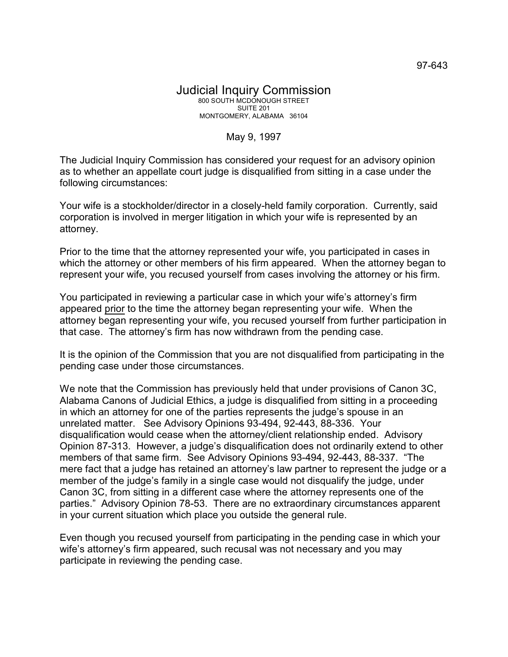## Judicial Inquiry Commission 800 SOUTH MCDONOUGH STREET SUITE 201 MONTGOMERY, ALABAMA 36104

## May 9, 1997

The Judicial Inquiry Commission has considered your request for an advisory opinion as to whether an appellate court judge is disqualified from sitting in a case under the following circumstances:

Your wife is a stockholder/director in a closely-held family corporation. Currently, said corporation is involved in merger litigation in which your wife is represented by an attorney.

Prior to the time that the attorney represented your wife, you participated in cases in which the attorney or other members of his firm appeared. When the attorney began to represent your wife, you recused yourself from cases involving the attorney or his firm.

You participated in reviewing a particular case in which your wife's attorney's firm appeared prior to the time the attorney began representing your wife. When the attorney began representing your wife, you recused yourself from further participation in that case. The attorney's firm has now withdrawn from the pending case.

It is the opinion of the Commission that you are not disqualified from participating in the pending case under those circumstances.

We note that the Commission has previously held that under provisions of Canon 3C, Alabama Canons of Judicial Ethics, a judge is disqualified from sitting in a proceeding in which an attorney for one of the parties represents the judge's spouse in an unrelated matter. See Advisory Opinions 93-494, 92-443, 88-336. Your disqualification would cease when the attorney/client relationship ended. Advisory Opinion 87-313. However, a judge's disqualification does not ordinarily extend to other members of that same firm. See Advisory Opinions 93-494, 92-443, 88-337. "The mere fact that a judge has retained an attorney's law partner to represent the judge or a member of the judge's family in a single case would not disqualify the judge, under Canon 3C, from sitting in a different case where the attorney represents one of the parties." Advisory Opinion 78-53. There are no extraordinary circumstances apparent in your current situation which place you outside the general rule.

Even though you recused yourself from participating in the pending case in which your wife's attorney's firm appeared, such recusal was not necessary and you may participate in reviewing the pending case.